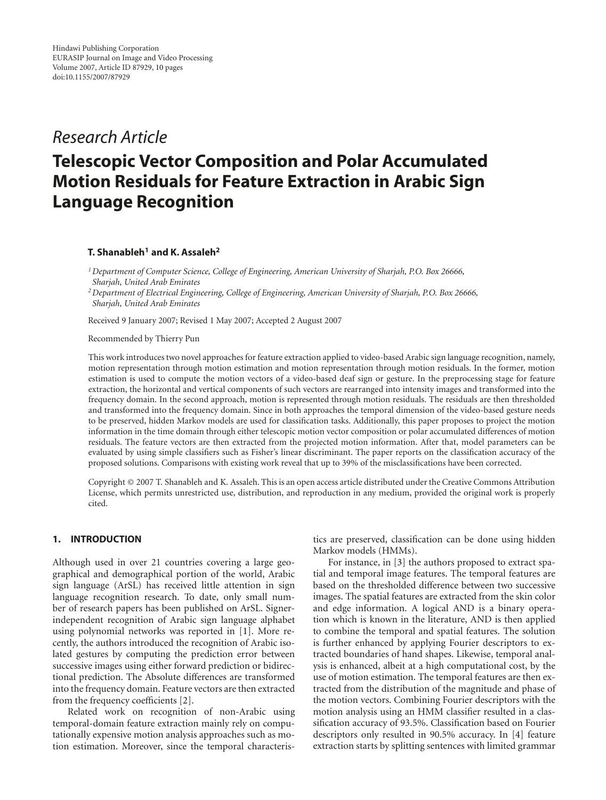## *Research Article*

# **Telescopic Vector Composition and Polar Accumulated Motion Residuals for Feature Extraction in Arabic Sign Language Recognition**

## **T. Shanableh1 and K. Assaleh2**

*1Department of Computer Science, College of Engineering, American University of Sharjah, P.O. Box 26666, Sharjah, United Arab Emirates*

*2Department of Electrical Engineering, College of Engineering, American University of Sharjah, P.O. Box 26666, Sharjah, United Arab Emirates*

Received 9 January 2007; Revised 1 May 2007; Accepted 2 August 2007

Recommended by Thierry Pun

This work introduces two novel approaches for feature extraction applied to video-based Arabic sign language recognition, namely, motion representation through motion estimation and motion representation through motion residuals. In the former, motion estimation is used to compute the motion vectors of a video-based deaf sign or gesture. In the preprocessing stage for feature extraction, the horizontal and vertical components of such vectors are rearranged into intensity images and transformed into the frequency domain. In the second approach, motion is represented through motion residuals. The residuals are then thresholded and transformed into the frequency domain. Since in both approaches the temporal dimension of the video-based gesture needs to be preserved, hidden Markov models are used for classification tasks. Additionally, this paper proposes to project the motion information in the time domain through either telescopic motion vector composition or polar accumulated differences of motion residuals. The feature vectors are then extracted from the projected motion information. After that, model parameters can be evaluated by using simple classifiers such as Fisher's linear discriminant. The paper reports on the classification accuracy of the proposed solutions. Comparisons with existing work reveal that up to 39% of the misclassifications have been corrected.

Copyright © 2007 T. Shanableh and K. Assaleh. This is an open access article distributed under the Creative Commons Attribution License, which permits unrestricted use, distribution, and reproduction in any medium, provided the original work is properly cited.

## **1. INTRODUCTION**

Although used in over 21 countries covering a large geographical and demographical portion of the world, Arabic sign language (ArSL) has received little attention in sign language recognition research. To date, only small number of research papers has been published on ArSL. Signerindependent recognition of Arabic sign language alphabet using polynomial networks was reported in [\[1](#page-8-1)]. More recently, the authors introduced the recognition of Arabic isolated gestures by computing the prediction error between successive images using either forward prediction or bidirectional prediction. The Absolute differences are transformed into the frequency domain. Feature vectors are then extracted from the frequency coefficients [\[2\]](#page-8-2).

Related work on recognition of non-Arabic using temporal-domain feature extraction mainly rely on computationally expensive motion analysis approaches such as motion estimation. Moreover, since the temporal characteristics are preserved, classification can be done using hidden Markov models (HMMs).

For instance, in [\[3](#page-8-3)] the authors proposed to extract spatial and temporal image features. The temporal features are based on the thresholded difference between two successive images. The spatial features are extracted from the skin color and edge information. A logical AND is a binary operation which is known in the literature, AND is then applied to combine the temporal and spatial features. The solution is further enhanced by applying Fourier descriptors to extracted boundaries of hand shapes. Likewise, temporal analysis is enhanced, albeit at a high computational cost, by the use of motion estimation. The temporal features are then extracted from the distribution of the magnitude and phase of the motion vectors. Combining Fourier descriptors with the motion analysis using an HMM classifier resulted in a classification accuracy of 93.5%. Classification based on Fourier descriptors only resulted in 90.5% accuracy. In [\[4](#page-8-4)] feature extraction starts by splitting sentences with limited grammar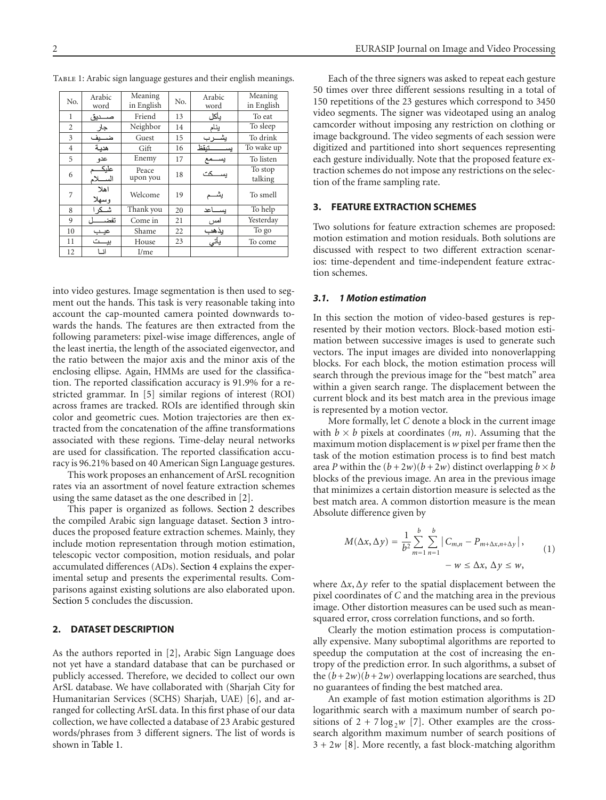<span id="page-1-2"></span>

| No.            | Arabic<br>word  | Meaning<br>in English | No. | Arabic<br>word | Meaning<br>in English |  |  |  |  |
|----------------|-----------------|-----------------------|-----|----------------|-----------------------|--|--|--|--|
| 1              | صـــديق         | Friend                | 13  | بأكل           | To eat                |  |  |  |  |
| $\overline{2}$ | جار             | Neighbor              | 14  | ينام           | To sleep              |  |  |  |  |
| 3              | ضـــيف          | Guest                 | 15  | يشرب           | To drink              |  |  |  |  |
| 4              | هدسة            | Gift                  | 16  | خنقظ<br>ففد    | To wake up            |  |  |  |  |
| 5              | عدو             | Enemy                 | 17  | يســـمع        | To listen             |  |  |  |  |
| 6              | عايك<br>السسلام | Peace<br>upon you     | 18  | سکت            | To stop<br>talking    |  |  |  |  |
| 7              | اهلا<br>وسهلا   | Welcome               | 19  | يشـــ          | To smell              |  |  |  |  |
| 8              | شــکر ا         | Thank you             | 20  | ســـاعد        | To help               |  |  |  |  |
| 9              | تفض             | Come in               | 21  | امس            | Yesterday             |  |  |  |  |
| 10             | عيب             | Shame                 | 22  | يذهب           | To go                 |  |  |  |  |
| 11             | بيـــت          | House                 | 23  | يأتي           | To come               |  |  |  |  |
| 12             | انا             | $I/m$ e               |     |                |                       |  |  |  |  |

TABLE 1: Arabic sign language gestures and their english meanings.

into video gestures. Image segmentation is then used to segment out the hands. This task is very reasonable taking into account the cap-mounted camera pointed downwards towards the hands. The features are then extracted from the following parameters: pixel-wise image differences, angle of the least inertia, the length of the associated eigenvector, and the ratio between the major axis and the minor axis of the enclosing ellipse. Again, HMMs are used for the classification. The reported classification accuracy is 91.9% for a restricted grammar. In [\[5](#page-8-5)] similar regions of interest (ROI) across frames are tracked. ROIs are identified through skin color and geometric cues. Motion trajectories are then extracted from the concatenation of the affine transformations associated with these regions. Time-delay neural networks are used for classification. The reported classification accuracy is 96.21% based on 40 American Sign Language gestures.

This work proposes an enhancement of ArSL recognition rates via an assortment of novel feature extraction schemes using the same dataset as the one described in [\[2\]](#page-8-2).

This paper is organized as follows. [Section 2](#page-1-0) describes the compiled Arabic sign language dataset. [Section 3](#page-1-1) introduces the proposed feature extraction schemes. Mainly, they include motion representation through motion estimation, telescopic vector composition, motion residuals, and polar accumulated differences (ADs). [Section 4](#page-5-0) explains the experimental setup and presents the experimental results. Comparisons against existing solutions are also elaborated upon. [Section 5](#page-8-6) concludes the discussion.

#### <span id="page-1-0"></span>**2. DATASET DESCRIPTION**

As the authors reported in [\[2\]](#page-8-2), Arabic Sign Language does not yet have a standard database that can be purchased or publicly accessed. Therefore, we decided to collect our own ArSL database. We have collaborated with (Sharjah City for Humanitarian Services (SCHS) Sharjah, UAE) [\[6\]](#page-8-7), and arranged for collecting ArSL data. In this first phase of our data collection, we have collected a database of 23 Arabic gestured words/phrases from 3 different signers. The list of words is shown in [Table 1.](#page-1-2)

Each of the three signers was asked to repeat each gesture 50 times over three different sessions resulting in a total of 150 repetitions of the 23 gestures which correspond to 3450 video segments. The signer was videotaped using an analog camcorder without imposing any restriction on clothing or image background. The video segments of each session were digitized and partitioned into short sequences representing each gesture individually. Note that the proposed feature extraction schemes do not impose any restrictions on the selection of the frame sampling rate.

#### <span id="page-1-1"></span>**3. FEATURE EXTRACTION SCHEMES**

Two solutions for feature extraction schemes are proposed: motion estimation and motion residuals. Both solutions are discussed with respect to two different extraction scenarios: time-dependent and time-independent feature extraction schemes.

#### *3.1. 1 Motion estimation*

In this section the motion of video-based gestures is represented by their motion vectors. Block-based motion estimation between successive images is used to generate such vectors. The input images are divided into nonoverlapping blocks. For each block, the motion estimation process will search through the previous image for the "best match" area within a given search range. The displacement between the current block and its best match area in the previous image is represented by a motion vector.

More formally, let *C* denote a block in the current image with  $b \times b$  pixels at coordinates  $(m, n)$ . Assuming that the maximum motion displacement is *w* pixel per frame then the task of the motion estimation process is to find best match area *P* within the  $(b+2w)(b+2w)$  distinct overlapping  $b \times b$ blocks of the previous image. An area in the previous image that minimizes a certain distortion measure is selected as the best match area. A common distortion measure is the mean Absolute difference given by

<span id="page-1-3"></span>
$$
M(\Delta x, \Delta y) = \frac{1}{b^2} \sum_{m=1}^{b} \sum_{n=1}^{b} |C_{m,n} - P_{m+\Delta x, n+\Delta y}|,
$$
  
-  $w \le \Delta x, \Delta y \le w,$  (1)

where  $\Delta x$ ,  $\Delta y$  refer to the spatial displacement between the pixel coordinates of *C* and the matching area in the previous image. Other distortion measures can be used such as meansquared error, cross correlation functions, and so forth.

Clearly the motion estimation process is computationally expensive. Many suboptimal algorithms are reported to speedup the computation at the cost of increasing the entropy of the prediction error. In such algorithms, a subset of the  $(b+2w)(b+2w)$  overlapping locations are searched, thus no guarantees of finding the best matched area.

An example of fast motion estimation algorithms is 2D logarithmic search with a maximum number of search positions of  $2 + 7 \log_2 w$  [\[7](#page-8-8)]. Other examples are the crosssearch algorithm maximum number of search positions of  $3 + 2w$  [\[8\]](#page-8-9). More recently, a fast block-matching algorithm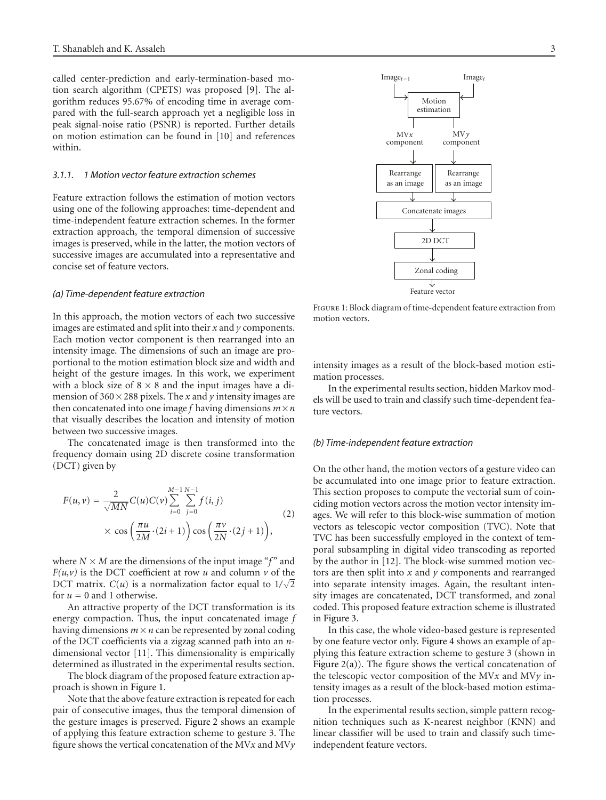called center-prediction and early-termination-based motion search algorithm (CPETS) was proposed [\[9](#page-9-0)]. The algorithm reduces 95.67% of encoding time in average compared with the full-search approach yet a negligible loss in peak signal-noise ratio (PSNR) is reported. Further details on motion estimation can be found in [\[10](#page-9-1)] and references within.

#### <span id="page-2-1"></span>*3.1.1. 1 Motion vector feature extraction schemes*

Feature extraction follows the estimation of motion vectors using one of the following approaches: time-dependent and time-independent feature extraction schemes. In the former extraction approach, the temporal dimension of successive images is preserved, while in the latter, the motion vectors of successive images are accumulated into a representative and concise set of feature vectors.

#### *(a) Time-dependent feature extraction*

In this approach, the motion vectors of each two successive images are estimated and split into their *x* and *y* components. Each motion vector component is then rearranged into an intensity image. The dimensions of such an image are proportional to the motion estimation block size and width and height of the gesture images. In this work, we experiment with a block size of  $8 \times 8$  and the input images have a dimension of  $360 \times 288$  pixels. The *x* and *y* intensity images are then concatenated into one image  $f$  having dimensions  $m \times n$ that visually describes the location and intensity of motion between two successive images.

The concatenated image is then transformed into the frequency domain using 2D discrete cosine transformation (DCT) given by

$$
F(u, v) = \frac{2}{\sqrt{MN}} C(u)C(v) \sum_{i=0}^{M-1} \sum_{j=0}^{N-1} f(i, j)
$$
  
 
$$
\times \cos\left(\frac{\pi u}{2M} \cdot (2i+1)\right) \cos\left(\frac{\pi v}{2N} \cdot (2j+1)\right),
$$
 (2)

where  $N \times M$  are the dimensions of the input image "f" and  $F(u, v)$  is the DCT coefficient at row *u* and column *v* of the DCT matrix.  $C(u)$  is a normalization factor equal to  $1/\sqrt{2}$ for  $u = 0$  and 1 otherwise.

An attractive property of the DCT transformation is its energy compaction. Thus, the input concatenated image *f* having dimensions  $m \times n$  can be represented by zonal coding of the DCT coefficients via a zigzag scanned path into an *n*dimensional vector [\[11](#page-9-2)]. This dimensionality is empirically determined as illustrated in the experimental results section.

The block diagram of the proposed feature extraction approach is shown in [Figure 1.](#page-2-0)

Note that the above feature extraction is repeated for each pair of consecutive images, thus the temporal dimension of the gesture images is preserved. [Figure 2](#page-3-0) shows an example of applying this feature extraction scheme to gesture 3. The figure shows the vertical concatenation of the MV*x* and MV*y*



<span id="page-2-0"></span>Figure 1: Block diagram of time-dependent feature extraction from motion vectors.

intensity images as a result of the block-based motion estimation processes.

In the experimental results section, hidden Markov models will be used to train and classify such time-dependent feature vectors.

#### *(b) Time-independent feature extraction*

On the other hand, the motion vectors of a gesture video can be accumulated into one image prior to feature extraction. This section proposes to compute the vectorial sum of coinciding motion vectors across the motion vector intensity images. We will refer to this block-wise summation of motion vectors as telescopic vector composition (TVC). Note that TVC has been successfully employed in the context of temporal subsampling in digital video transcoding as reported by the author in [\[12](#page-9-3)]. The block-wise summed motion vectors are then split into *x* and *y* components and rearranged into separate intensity images. Again, the resultant intensity images are concatenated, DCT transformed, and zonal coded. This proposed feature extraction scheme is illustrated in [Figure 3.](#page-3-1)

In this case, the whole video-based gesture is represented by one feature vector only. [Figure 4](#page-3-2) shows an example of applying this feature extraction scheme to gesture 3 (shown in Figure  $2(a)$ ). The figure shows the vertical concatenation of the telescopic vector composition of the MV*x* and MV*y* intensity images as a result of the block-based motion estimation processes.

In the experimental results section, simple pattern recognition techniques such as K-nearest neighbor (KNN) and linear classifier will be used to train and classify such timeindependent feature vectors.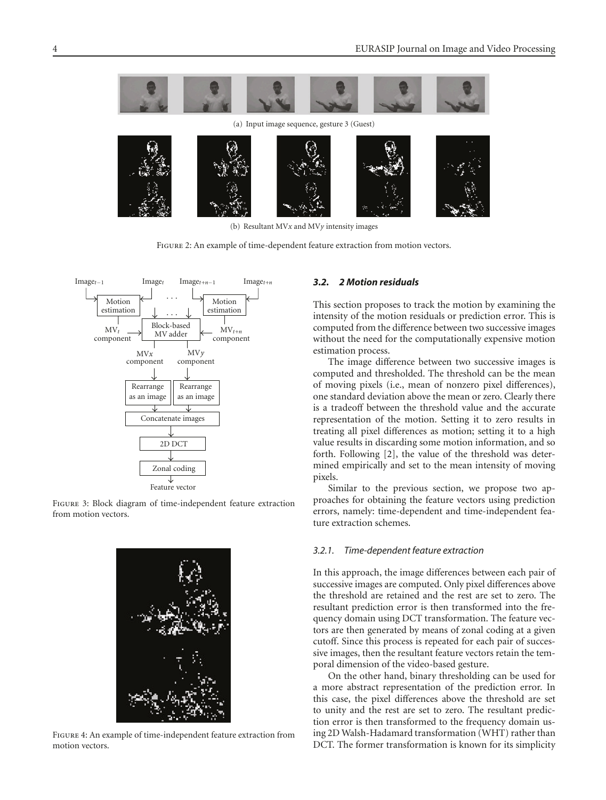<span id="page-3-3"></span>

(b) Resultant MV*x* and MV*y* intensity images

<span id="page-3-0"></span>Figure 2: An example of time-dependent feature extraction from motion vectors.



<span id="page-3-1"></span>Figure 3: Block diagram of time-independent feature extraction from motion vectors.

<span id="page-3-2"></span>

Figure 4: An example of time-independent feature extraction from motion vectors.

### *3.2. 2 Motion residuals*

This section proposes to track the motion by examining the intensity of the motion residuals or prediction error. This is computed from the difference between two successive images without the need for the computationally expensive motion estimation process.

The image difference between two successive images is computed and thresholded. The threshold can be the mean of moving pixels (i.e., mean of nonzero pixel differences), one standard deviation above the mean or zero. Clearly there is a tradeoff between the threshold value and the accurate representation of the motion. Setting it to zero results in treating all pixel differences as motion; setting it to a high value results in discarding some motion information, and so forth. Following [\[2](#page-8-2)], the value of the threshold was determined empirically and set to the mean intensity of moving pixels.

Similar to the previous section, we propose two approaches for obtaining the feature vectors using prediction errors, namely: time-dependent and time-independent feature extraction schemes.

#### *3.2.1. Time-dependent feature extraction*

In this approach, the image differences between each pair of successive images are computed. Only pixel differences above the threshold are retained and the rest are set to zero. The resultant prediction error is then transformed into the frequency domain using DCT transformation. The feature vectors are then generated by means of zonal coding at a given cutoff. Since this process is repeated for each pair of successive images, then the resultant feature vectors retain the temporal dimension of the video-based gesture.

On the other hand, binary thresholding can be used for a more abstract representation of the prediction error. In this case, the pixel differences above the threshold are set to unity and the rest are set to zero. The resultant prediction error is then transformed to the frequency domain using 2D Walsh-Hadamard transformation (WHT) rather than DCT. The former transformation is known for its simplicity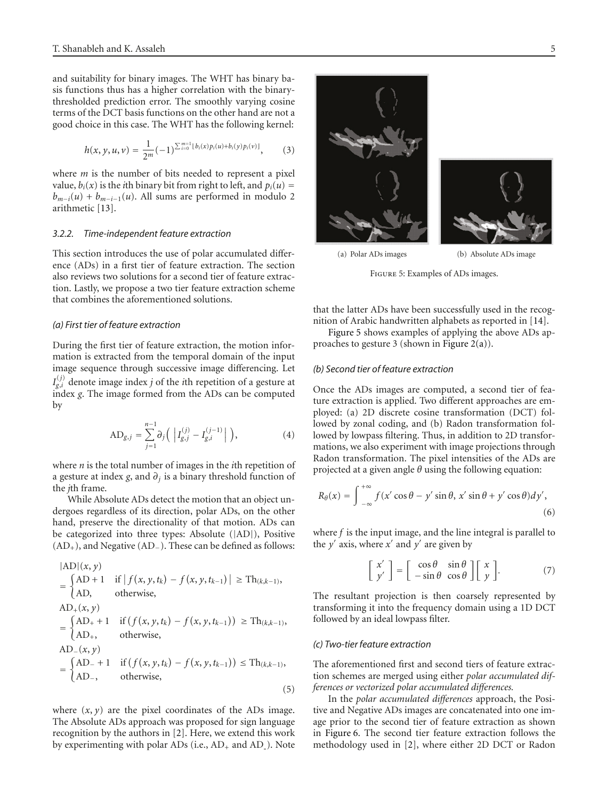and suitability for binary images. The WHT has binary basis functions thus has a higher correlation with the binarythresholded prediction error. The smoothly varying cosine terms of the DCT basis functions on the other hand are not a good choice in this case. The WHT has the following kernel:

$$
h(x, y, u, v) = \frac{1}{2^m} (-1)^{\sum_{i=0}^{m-1} \lfloor b_i(x) p_i(u) + b_i(y) p_i(v) \rfloor}, \quad (3)
$$

where *m* is the number of bits needed to represent a pixel value,  $b_i(x)$  is the *i*th binary bit from right to left, and  $p_i(u) =$  $b_{m-i}(u) + b_{m-i-1}(u)$ . All sums are performed in modulo 2 arithmetic [\[13](#page-9-4)].

#### <span id="page-4-1"></span>*3.2.2. Time-independent feature extraction*

This section introduces the use of polar accumulated difference (ADs) in a first tier of feature extraction. The section also reviews two solutions for a second tier of feature extraction. Lastly, we propose a two tier feature extraction scheme that combines the aforementioned solutions.

#### *(a) First tier of feature extraction*

During the first tier of feature extraction, the motion information is extracted from the temporal domain of the input image sequence through successive image differencing. Let  $I_{g,i}^{(j)}$  denote image index *j* of the *i*th repetition of a gesture at index *g*. The image formed from the ADs can be computed by

$$
AD_{g,j} = \sum_{j=1}^{n-1} \partial_j \left( \left| I_{g,j}^{(j)} - I_{g,i}^{(j-1)} \right| \right), \tag{4}
$$

where *n* is the total number of images in the *i*th repetition of a gesture at index *g*, and *∂j* is a binary threshold function of the *j*th frame.

While Absolute ADs detect the motion that an object undergoes regardless of its direction, polar ADs, on the other hand, preserve the directionality of that motion. ADs can be categorized into three types: Absolute (|AD|), Positive  $(AD<sub>+</sub>)$ , and Negative (AD<sub>−</sub>). These can be defined as follows:

$$
|AD|(x, y)
$$
  
=  $\begin{cases} AD + 1 & \text{if } |f(x, y, t_k) - f(x, y, t_{k-1})| \ge Th_{(k,k-1)}, \\ AD, & \text{otherwise,} \end{cases}$   

$$
AD_{+}(x, y)
$$
  
=  $\begin{cases} AD_{+} + 1 & \text{if } (f(x, y, t_k) - f(x, y, t_{k-1})) \ge Th_{(k,k-1)}, \\ AD_{+}, & \text{otherwise,} \end{cases}$   

$$
AD_{-}(x, y)
$$
  
=  $\begin{cases} AD_{-} + 1 & \text{if } (f(x, y, t_k) - f(x, y, t_{k-1})) \le Th_{(k,k-1)}, \\ AD_{-}, & \text{otherwise,} \end{cases}$   
(5)

where  $(x, y)$  are the pixel coordinates of the ADs image. The Absolute ADs approach was proposed for sign language recognition by the authors in [\[2\]](#page-8-2). Here, we extend this work by experimenting with polar ADs (i.e.,  $AD_+$  and  $AD_-$ ). Note



(a) Polar ADs images (b) Absolute ADs image

<span id="page-4-0"></span>Figure 5: Examples of ADs images.

that the latter ADs have been successfully used in the recognition of Arabic handwritten alphabets as reported in [\[14\]](#page-9-5).

[Figure 5](#page-4-0) shows examples of applying the above ADs approaches to gesture 3 (shown in [Figure 2\(a\)\)](#page-3-3).

#### *(b) Second tier of feature extraction*

Once the ADs images are computed, a second tier of feature extraction is applied. Two different approaches are employed: (a) 2D discrete cosine transformation (DCT) followed by zonal coding, and (b) Radon transformation followed by lowpass filtering. Thus, in addition to 2D transformations, we also experiment with image projections through Radon transformation. The pixel intensities of the ADs are projected at a given angle *θ* using the following equation:

$$
R_{\theta}(x) = \int_{-\infty}^{+\infty} f(x' \cos \theta - y' \sin \theta, x' \sin \theta + y' \cos \theta) dy',
$$
\n(6)

where *f* is the input image, and the line integral is parallel to the  $y'$  axis, where  $x'$  and  $y'$  are given by

$$
\begin{bmatrix} x' \\ y' \end{bmatrix} = \begin{bmatrix} \cos \theta & \sin \theta \\ -\sin \theta & \cos \theta \end{bmatrix} \begin{bmatrix} x \\ y \end{bmatrix}.
$$
 (7)

The resultant projection is then coarsely represented by transforming it into the frequency domain using a 1D DCT followed by an ideal lowpass filter.

#### *(c) Two-tier feature extraction*

The aforementioned first and second tiers of feature extraction schemes are merged using either *polar accumulated differences or vectorized polar accumulated differences.*

In the *polar accumulated differences* approach, the Positive and Negative ADs images are concatenated into one image prior to the second tier of feature extraction as shown in [Figure 6.](#page-5-1) The second tier feature extraction follows the methodology used in [\[2\]](#page-8-2), where either 2D DCT or Radon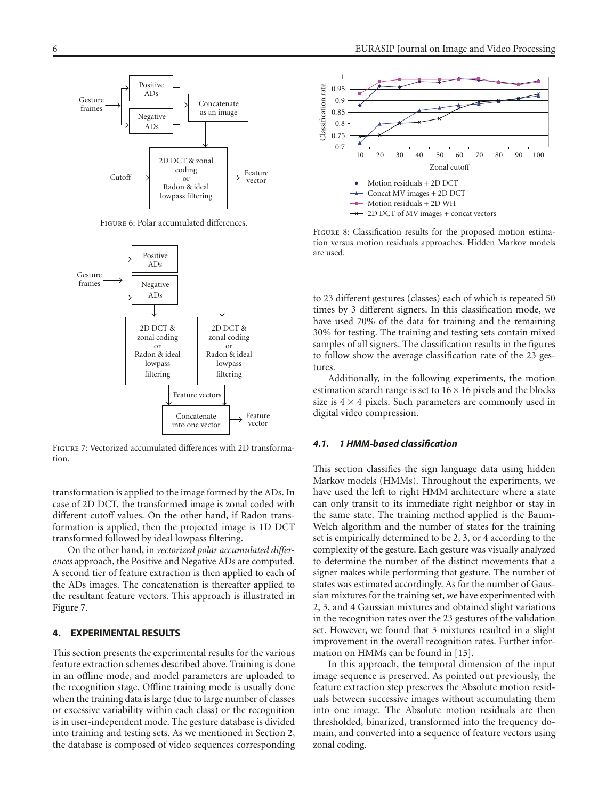

<span id="page-5-1"></span>Figure 6: Polar accumulated differences.



<span id="page-5-2"></span>Figure 7: Vectorized accumulated differences with 2D transformation.

transformation is applied to the image formed by the ADs. In case of 2D DCT, the transformed image is zonal coded with different cutoff values. On the other hand, if Radon transformation is applied, then the projected image is 1D DCT transformed followed by ideal lowpass filtering.

On the other hand, in *vectorized polar accumulated differences* approach, the Positive and Negative ADs are computed. A second tier of feature extraction is then applied to each of the ADs images. The concatenation is thereafter applied to the resultant feature vectors. This approach is illustrated in [Figure 7.](#page-5-2)

## <span id="page-5-0"></span>**4. EXPERIMENTAL RESULTS**

This section presents the experimental results for the various feature extraction schemes described above. Training is done in an offline mode, and model parameters are uploaded to the recognition stage. Offline training mode is usually done when the training data is large (due to large number of classes or excessive variability within each class) or the recognition is in user-independent mode. The gesture database is divided into training and testing sets. As we mentioned in [Section 2,](#page-1-0) the database is composed of video sequences corresponding



<span id="page-5-3"></span>Figure 8: Classification results for the proposed motion estimation versus motion residuals approaches. Hidden Markov models are used.

to 23 different gestures (classes) each of which is repeated 50 times by 3 different signers. In this classification mode, we have used 70% of the data for training and the remaining 30% for testing. The training and testing sets contain mixed samples of all signers. The classification results in the figures to follow show the average classification rate of the 23 gestures.

Additionally, in the following experiments, the motion estimation search range is set to  $16 \times 16$  pixels and the blocks size is  $4 \times 4$  pixels. Such parameters are commonly used in digital video compression.

## *4.1. 1 HMM-based classification*

This section classifies the sign language data using hidden Markov models (HMMs). Throughout the experiments, we have used the left to right HMM architecture where a state can only transit to its immediate right neighbor or stay in the same state. The training method applied is the Baum-Welch algorithm and the number of states for the training set is empirically determined to be 2, 3, or 4 according to the complexity of the gesture. Each gesture was visually analyzed to determine the number of the distinct movements that a signer makes while performing that gesture. The number of states was estimated accordingly. As for the number of Gaussian mixtures for the training set, we have experimented with 2, 3, and 4 Gaussian mixtures and obtained slight variations in the recognition rates over the 23 gestures of the validation set. However, we found that 3 mixtures resulted in a slight improvement in the overall recognition rates. Further information on HMMs can be found in [\[15](#page-9-6)].

In this approach, the temporal dimension of the input image sequence is preserved. As pointed out previously, the feature extraction step preserves the Absolute motion residuals between successive images without accumulating them into one image. The Absolute motion residuals are then thresholded, binarized, transformed into the frequency domain, and converted into a sequence of feature vectors using zonal coding.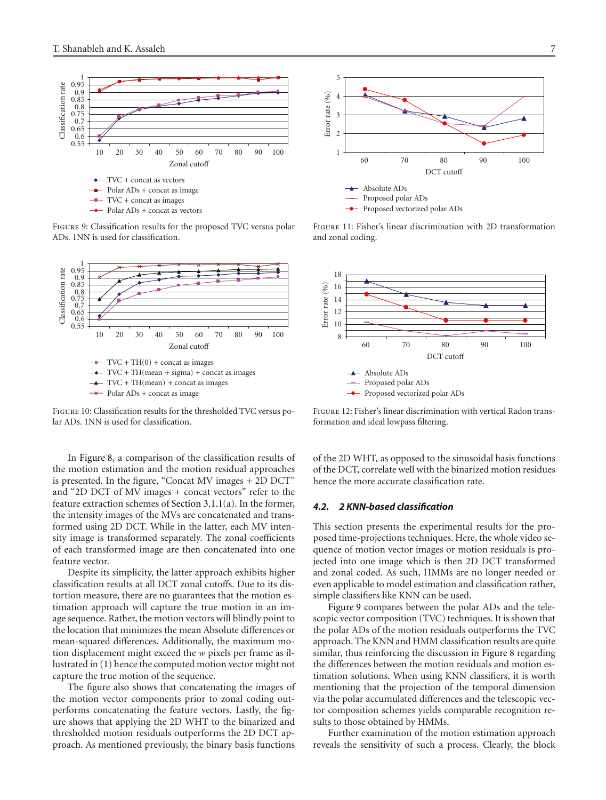

<span id="page-6-0"></span>Figure 9: Classification results for the proposed TVC versus polar ADs. 1NN is used for classification.



<span id="page-6-3"></span>Figure 10: Classification results for the thresholded TVC versus polar ADs. 1NN is used for classification.

In [Figure 8,](#page-5-3) a comparison of the classification results of the motion estimation and the motion residual approaches is presented. In the figure, "Concat MV images + 2D DCT" and "2D DCT of MV images + concat vectors" refer to the feature extraction schemes of [Section 3.1.1\(](#page-2-1)a). In the former, the intensity images of the MVs are concatenated and transformed using 2D DCT. While in the latter, each MV intensity image is transformed separately. The zonal coefficients of each transformed image are then concatenated into one feature vector.

Despite its simplicity, the latter approach exhibits higher classification results at all DCT zonal cutoffs. Due to its distortion measure, there are no guarantees that the motion estimation approach will capture the true motion in an image sequence. Rather, the motion vectors will blindly point to the location that minimizes the mean Absolute differences or mean-squared differences. Additionally, the maximum motion displacement might exceed the *w* pixels per frame as illustrated in [\(1\)](#page-1-3) hence the computed motion vector might not capture the true motion of the sequence.

The figure also shows that concatenating the images of the motion vector components prior to zonal coding outperforms concatenating the feature vectors. Lastly, the figure shows that applying the 2D WHT to the binarized and thresholded motion residuals outperforms the 2D DCT approach. As mentioned previously, the binary basis functions



<span id="page-6-1"></span>Figure 11: Fisher's linear discrimination with 2D transformation and zonal coding.



<span id="page-6-2"></span>Figure 12: Fisher's linear discrimination with vertical Radon transformation and ideal lowpass filtering.

of the 2D WHT, as opposed to the sinusoidal basis functions of the DCT, correlate well with the binarized motion residues hence the more accurate classification rate.

#### *4.2. 2 KNN-based classification*

This section presents the experimental results for the proposed time-projections techniques. Here, the whole video sequence of motion vector images or motion residuals is projected into one image which is then 2D DCT transformed and zonal coded. As such, HMMs are no longer needed or even applicable to model estimation and classification rather, simple classifiers like KNN can be used.

[Figure 9](#page-6-0) compares between the polar ADs and the telescopic vector composition (TVC) techniques. It is shown that the polar ADs of the motion residuals outperforms the TVC approach. The KNN and HMM classification results are quite similar, thus reinforcing the discussion in [Figure 8](#page-5-3) regarding the differences between the motion residuals and motion estimation solutions. When using KNN classifiers, it is worth mentioning that the projection of the temporal dimension via the polar accumulated differences and the telescopic vector composition schemes yields comparable recognition results to those obtained by HMMs.

Further examination of the motion estimation approach reveals the sensitivity of such a process. Clearly, the block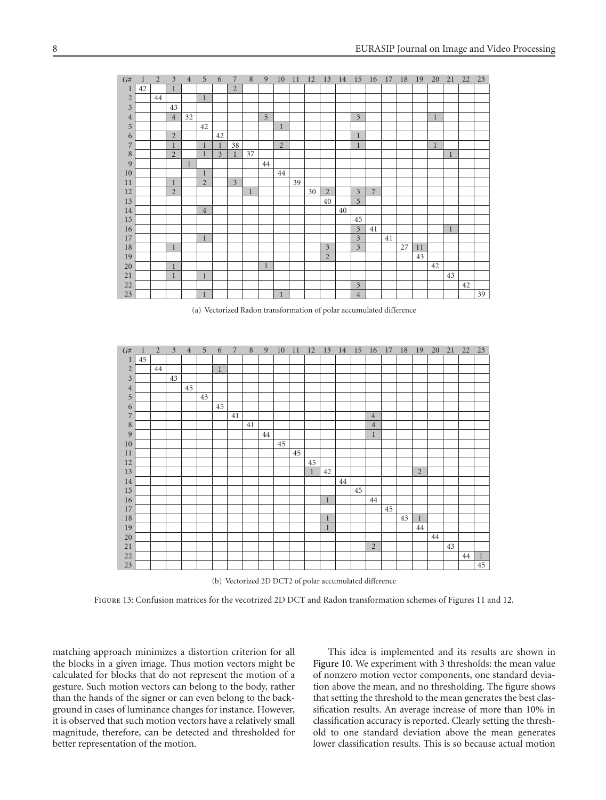| G#               | 1  | $\overline{2}$ | 3              | $\overline{4}$ | 5              | 6              | 7              | 8            | 9            | 10             | 11 | 12 | 13             | 14 | 15             | 16             | 17 | 18 | 19 | 20           | 21           | 22 | 23 |
|------------------|----|----------------|----------------|----------------|----------------|----------------|----------------|--------------|--------------|----------------|----|----|----------------|----|----------------|----------------|----|----|----|--------------|--------------|----|----|
| 1                | 42 |                | 1              |                |                |                | $\overline{2}$ |              |              |                |    |    |                |    |                |                |    |    |    |              |              |    |    |
| $\sqrt{2}$       |    | 44             |                |                | $\mathbf{1}$   |                |                |              |              |                |    |    |                |    |                |                |    |    |    |              |              |    |    |
| $\overline{3}$   |    |                | 43             |                |                |                |                |              |              |                |    |    |                |    |                |                |    |    |    |              |              |    |    |
| $\overline{4}$   |    |                | $\overline{4}$ | 32             |                |                |                |              | 5            |                |    |    |                |    | $\overline{3}$ |                |    |    |    | $\mathbf{1}$ |              |    |    |
| 5                |    |                |                |                | 42             |                |                |              |              | $\mathbf{1}$   |    |    |                |    |                |                |    |    |    |              |              |    |    |
| 6                |    |                | $\overline{2}$ |                |                | 42             |                |              |              |                |    |    |                |    | $\mathbf 1$    |                |    |    |    |              |              |    |    |
| 7                |    |                | $\mathbf{1}$   |                | $\mathbf{1}$   | $\mathbf{1}$   | 38             |              |              | $\overline{2}$ |    |    |                |    | 1              |                |    |    |    | 1            |              |    |    |
| $\boldsymbol{8}$ |    |                | $\overline{2}$ |                | $\mathbf{1}$   | $\overline{3}$ | 1              | 37           |              |                |    |    |                |    |                |                |    |    |    |              | 1            |    |    |
| 9                |    |                |                | $\mathbf{1}$   |                |                |                |              | 44           |                |    |    |                |    |                |                |    |    |    |              |              |    |    |
| 10               |    |                |                |                | $\mathbf{1}$   |                |                |              |              | 44             |    |    |                |    |                |                |    |    |    |              |              |    |    |
| 11               |    |                | $\mathbf{1}$   |                | $\overline{2}$ |                | $\overline{3}$ |              |              |                | 39 |    |                |    |                |                |    |    |    |              |              |    |    |
| 12               |    |                | $\overline{2}$ |                |                |                |                | $\mathbf{1}$ |              |                |    | 30 | $\overline{2}$ |    | $\overline{3}$ | $\overline{7}$ |    |    |    |              |              |    |    |
| 13               |    |                |                |                |                |                |                |              |              |                |    |    | 40             |    | 5              |                |    |    |    |              |              |    |    |
| 14               |    |                |                |                | $\overline{4}$ |                |                |              |              |                |    |    |                | 40 |                |                |    |    |    |              |              |    |    |
| 15               |    |                |                |                |                |                |                |              |              |                |    |    |                |    | 45             |                |    |    |    |              |              |    |    |
| 16               |    |                |                |                |                |                |                |              |              |                |    |    |                |    | $\overline{3}$ | 41             |    |    |    |              | $\mathbf{1}$ |    |    |
| 17               |    |                |                |                | $\mathbf{1}$   |                |                |              |              |                |    |    |                |    | $\overline{3}$ |                | 41 |    |    |              |              |    |    |
| $18\,$           |    |                | $\mathbf{1}$   |                |                |                |                |              |              |                |    |    | $\overline{3}$ |    | $\overline{3}$ |                |    | 27 | 11 |              |              |    |    |
| 19               |    |                |                |                |                |                |                |              |              |                |    |    | $\overline{2}$ |    |                |                |    |    | 43 |              |              |    |    |
| 20               |    |                | $\mathbf{1}$   |                |                |                |                |              | $\mathbf{1}$ |                |    |    |                |    |                |                |    |    |    | 42           |              |    |    |
| 21               |    |                | $\mathbf{1}$   |                | $\mathbf{1}$   |                |                |              |              |                |    |    |                |    |                |                |    |    |    |              | 43           |    |    |
| $22\,$           |    |                |                |                |                |                |                |              |              |                |    |    |                |    | $\mathfrak{Z}$ |                |    |    |    |              |              | 42 |    |
| 23               |    |                |                |                | $\mathbf{1}$   |                |                |              |              | $\mathbf{1}$   |    |    |                |    | $\sqrt{4}$     |                |    |    |    |              |              |    | 39 |

(a) Vectorized Radon transformation of polar accumulated difference

<span id="page-7-1"></span>

| G#             | 1  | $\overline{2}$ | 3  | $\overline{4}$ | 5  | 6            | $\overline{7}$ | 8  | 9  | 10 | 11 | 12           | 13           | 14 | 15 | 16             | 17 | 18 | 19           | 20 | 21 | 22 | 23           |
|----------------|----|----------------|----|----------------|----|--------------|----------------|----|----|----|----|--------------|--------------|----|----|----------------|----|----|--------------|----|----|----|--------------|
| 1              | 45 |                |    |                |    |              |                |    |    |    |    |              |              |    |    |                |    |    |              |    |    |    |              |
| $\overline{c}$ |    | 44             |    |                |    | $\mathbf{1}$ |                |    |    |    |    |              |              |    |    |                |    |    |              |    |    |    |              |
| $\mathfrak{Z}$ |    |                | 43 |                |    |              |                |    |    |    |    |              |              |    |    |                |    |    |              |    |    |    |              |
| $\sqrt{4}$     |    |                |    | 45             |    |              |                |    |    |    |    |              |              |    |    |                |    |    |              |    |    |    |              |
| $\overline{5}$ |    |                |    |                | 43 |              |                |    |    |    |    |              |              |    |    |                |    |    |              |    |    |    |              |
| 6              |    |                |    |                |    | 45           |                |    |    |    |    |              |              |    |    |                |    |    |              |    |    |    |              |
| $\overline{7}$ |    |                |    |                |    |              | 41             |    |    |    |    |              |              |    |    | $\overline{4}$ |    |    |              |    |    |    |              |
| $\,$ 8 $\,$    |    |                |    |                |    |              |                | 41 |    |    |    |              |              |    |    | $\overline{4}$ |    |    |              |    |    |    |              |
| 9              |    |                |    |                |    |              |                |    | 44 |    |    |              |              |    |    | 1              |    |    |              |    |    |    |              |
| $10\,$         |    |                |    |                |    |              |                |    |    | 45 |    |              |              |    |    |                |    |    |              |    |    |    |              |
| 11             |    |                |    |                |    |              |                |    |    |    | 45 |              |              |    |    |                |    |    |              |    |    |    |              |
| 12             |    |                |    |                |    |              |                |    |    |    |    | 45           |              |    |    |                |    |    |              |    |    |    |              |
| 13             |    |                |    |                |    |              |                |    |    |    |    | $\mathbf{1}$ | 42           |    |    |                |    |    | 2            |    |    |    |              |
| 14             |    |                |    |                |    |              |                |    |    |    |    |              |              | 44 |    |                |    |    |              |    |    |    |              |
| 15             |    |                |    |                |    |              |                |    |    |    |    |              |              |    | 45 |                |    |    |              |    |    |    |              |
| 16             |    |                |    |                |    |              |                |    |    |    |    |              | $\,1$        |    |    | 44             |    |    |              |    |    |    |              |
| 17             |    |                |    |                |    |              |                |    |    |    |    |              |              |    |    |                | 45 |    |              |    |    |    |              |
| $18\,$         |    |                |    |                |    |              |                |    |    |    |    |              | $\,1$        |    |    |                |    | 43 | $\mathbf{1}$ |    |    |    |              |
| 19             |    |                |    |                |    |              |                |    |    |    |    |              | $\mathbf{1}$ |    |    |                |    |    | 44           |    |    |    |              |
| 20             |    |                |    |                |    |              |                |    |    |    |    |              |              |    |    |                |    |    |              | 44 |    |    |              |
| 21             |    |                |    |                |    |              |                |    |    |    |    |              |              |    |    | $\overline{2}$ |    |    |              |    | 43 |    |              |
| 22             |    |                |    |                |    |              |                |    |    |    |    |              |              |    |    |                |    |    |              |    |    | 44 | $\mathbf{1}$ |
| 23             |    |                |    |                |    |              |                |    |    |    |    |              |              |    |    |                |    |    |              |    |    |    | 45           |

(b) Vectorized 2D DCT2 of polar accumulated difference

<span id="page-7-0"></span>Figure 13: Confusion matrices for the vecotrized 2D DCT and Radon transformation schemes of Figures [11](#page-6-1) and [12.](#page-6-2)

matching approach minimizes a distortion criterion for all the blocks in a given image. Thus motion vectors might be calculated for blocks that do not represent the motion of a gesture. Such motion vectors can belong to the body, rather than the hands of the signer or can even belong to the background in cases of luminance changes for instance. However, it is observed that such motion vectors have a relatively small magnitude, therefore, can be detected and thresholded for better representation of the motion.

This idea is implemented and its results are shown in [Figure 10.](#page-6-3) We experiment with 3 thresholds: the mean value of nonzero motion vector components, one standard deviation above the mean, and no thresholding. The figure shows that setting the threshold to the mean generates the best classification results. An average increase of more than 10% in classification accuracy is reported. Clearly setting the threshold to one standard deviation above the mean generates lower classification results. This is so because actual motion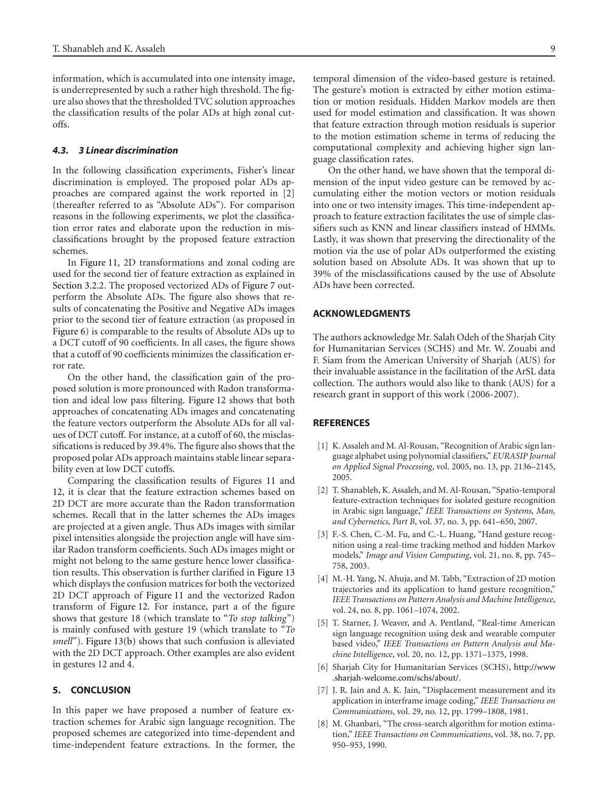information, which is accumulated into one intensity image, is underrepresented by such a rather high threshold. The figure also shows that the thresholded TVC solution approaches the classification results of the polar ADs at high zonal cutoffs.

## *4.3. 3 Linear discrimination*

In the following classification experiments, Fisher's linear discrimination is employed. The proposed polar ADs approaches are compared against the work reported in [\[2](#page-8-2)] (thereafter referred to as "Absolute ADs"). For comparison reasons in the following experiments, we plot the classification error rates and elaborate upon the reduction in misclassifications brought by the proposed feature extraction schemes.

In [Figure 11,](#page-6-1) 2D transformations and zonal coding are used for the second tier of feature extraction as explained in [Section 3.2.2.](#page-4-1) The proposed vectorized ADs of [Figure 7](#page-5-2) outperform the Absolute ADs. The figure also shows that results of concatenating the Positive and Negative ADs images prior to the second tier of feature extraction (as proposed in [Figure 6\)](#page-5-1) is comparable to the results of Absolute ADs up to a DCT cutoff of 90 coefficients. In all cases, the figure shows that a cutoff of 90 coefficients minimizes the classification error rate.

On the other hand, the classification gain of the proposed solution is more pronounced with Radon transformation and ideal low pass filtering. [Figure 12](#page-6-2) shows that both approaches of concatenating ADs images and concatenating the feature vectors outperform the Absolute ADs for all values of DCT cutoff. For instance, at a cutoff of 60, the misclassifications is reduced by 39.4%. The figure also shows that the proposed polar ADs approach maintains stable linear separability even at low DCT cutoffs.

Comparing the classification results of Figures [11](#page-6-1) and [12,](#page-6-2) it is clear that the feature extraction schemes based on 2D DCT are more accurate than the Radon transformation schemes. Recall that in the latter schemes the ADs images are projected at a given angle. Thus ADs images with similar pixel intensities alongside the projection angle will have similar Radon transform coefficients. Such ADs images might or might not belong to the same gesture hence lower classification results. This observation is further clarified in [Figure 13](#page-7-0) which displays the confusion matrices for both the vectorized 2D DCT approach of [Figure 11](#page-6-1) and the vectorized Radon transform of [Figure 12.](#page-6-2) For instance, part a of the figure shows that gesture 18 (which translate to "*To stop talking*") is mainly confused with gesture 19 (which translate to "*To smell*"). [Figure 13\(b\)](#page-7-1) shows that such confusion is alleviated with the 2D DCT approach. Other examples are also evident in gestures 12 and 4.

#### <span id="page-8-6"></span>**5. CONCLUSION**

In this paper we have proposed a number of feature extraction schemes for Arabic sign language recognition. The proposed schemes are categorized into time-dependent and time-independent feature extractions. In the former, the temporal dimension of the video-based gesture is retained. The gesture's motion is extracted by either motion estimation or motion residuals. Hidden Markov models are then used for model estimation and classification. It was shown that feature extraction through motion residuals is superior to the motion estimation scheme in terms of reducing the computational complexity and achieving higher sign language classification rates.

On the other hand, we have shown that the temporal dimension of the input video gesture can be removed by accumulating either the motion vectors or motion residuals into one or two intensity images. This time-independent approach to feature extraction facilitates the use of simple classifiers such as KNN and linear classifiers instead of HMMs. Lastly, it was shown that preserving the directionality of the motion via the use of polar ADs outperformed the existing solution based on Absolute ADs. It was shown that up to 39% of the misclassifications caused by the use of Absolute ADs have been corrected.

#### **ACKNOWLEDGMENTS**

The authors acknowledge Mr. Salah Odeh of the Sharjah City for Humanitarian Services (SCHS) and Mr. W. Zouabi and F. Siam from the American University of Sharjah (AUS) for their invaluable assistance in the facilitation of the ArSL data collection. The authors would also like to thank (AUS) for a research grant in support of this work (2006-2007).

#### <span id="page-8-0"></span>**REFERENCES**

- <span id="page-8-1"></span>[1] K. Assaleh and M. Al-Rousan, "Recognition of Arabic sign language alphabet using polynomial classifiers," *EURASIP Journal on Applied Signal Processing*, vol. 2005, no. 13, pp. 2136–2145, 2005.
- <span id="page-8-2"></span>[2] T. Shanableh, K. Assaleh, and M. Al-Rousan, "Spatio-temporal feature-extraction techniques for isolated gesture recognition in Arabic sign language," *IEEE Transactions on Systems, Man, and Cybernetics, Part B*, vol. 37, no. 3, pp. 641–650, 2007.
- <span id="page-8-3"></span>[3] F.-S. Chen, C.-M. Fu, and C.-L. Huang, "Hand gesture recognition using a real-time tracking method and hidden Markov models," *Image and Vision Computing*, vol. 21, no. 8, pp. 745– 758, 2003.
- <span id="page-8-4"></span>[4] M.-H. Yang, N. Ahuja, and M. Tabb, "Extraction of 2D motion trajectories and its application to hand gesture recognition," *IEEE Transactions on Pattern Analysis and Machine Intelligence*, vol. 24, no. 8, pp. 1061–1074, 2002.
- <span id="page-8-5"></span>[5] T. Starner, J. Weaver, and A. Pentland, "Real-time American sign language recognition using desk and wearable computer based video," *IEEE Transactions on Pattern Analysis and Machine Intelligence*, vol. 20, no. 12, pp. 1371–1375, 1998.
- <span id="page-8-7"></span>[6] Sharjah City for Humanitarian Services (SCHS), [http://www](http://www.sharjah-welcome.com/schs/about/) [.sharjah-welcome.com/schs/about/.](http://www.sharjah-welcome.com/schs/about/)
- <span id="page-8-8"></span>[7] J. R. Jain and A. K. Jain, "Displacement measurement and its application in interframe image coding," *IEEE Transactions on Communications*, vol. 29, no. 12, pp. 1799–1808, 1981.
- <span id="page-8-9"></span>[8] M. Ghanbari, "The cross-search algorithm for motion estimation," *IEEE Transactions on Communications*, vol. 38, no. 7, pp. 950–953, 1990.